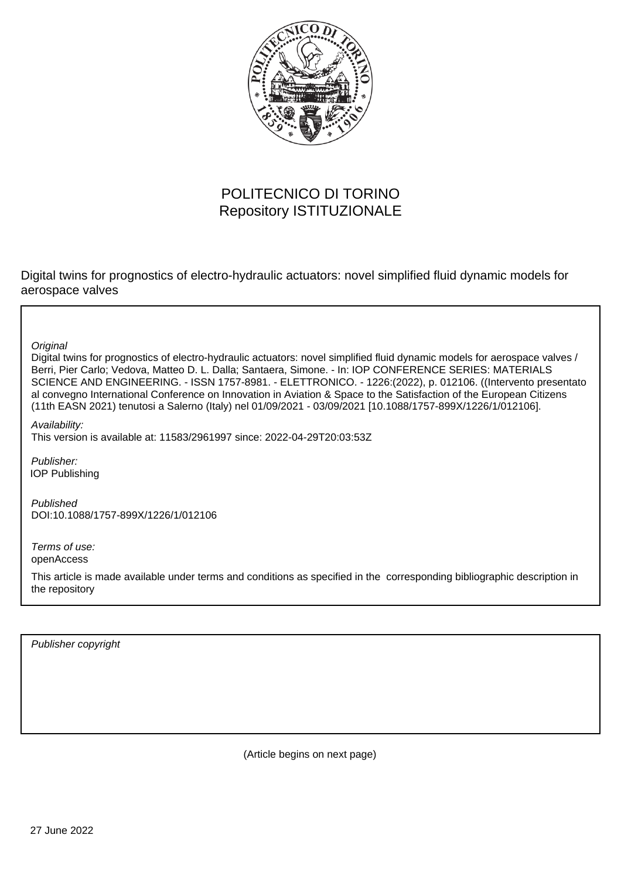

## POLITECNICO DI TORINO Repository ISTITUZIONALE

Digital twins for prognostics of electro-hydraulic actuators: novel simplified fluid dynamic models for aerospace valves

**Original** 

Digital twins for prognostics of electro-hydraulic actuators: novel simplified fluid dynamic models for aerospace valves / Berri, Pier Carlo; Vedova, Matteo D. L. Dalla; Santaera, Simone. - In: IOP CONFERENCE SERIES: MATERIALS SCIENCE AND ENGINEERING. - ISSN 1757-8981. - ELETTRONICO. - 1226:(2022), p. 012106. ((Intervento presentato al convegno International Conference on Innovation in Aviation & Space to the Satisfaction of the European Citizens (11th EASN 2021) tenutosi a Salerno (Italy) nel 01/09/2021 - 03/09/2021 [10.1088/1757-899X/1226/1/012106].

Availability: This version is available at: 11583/2961997 since: 2022-04-29T20:03:53Z

Publisher: IOP Publishing

Published DOI:10.1088/1757-899X/1226/1/012106

Terms of use: openAccess

This article is made available under terms and conditions as specified in the corresponding bibliographic description in the repository

Publisher copyright

(Article begins on next page)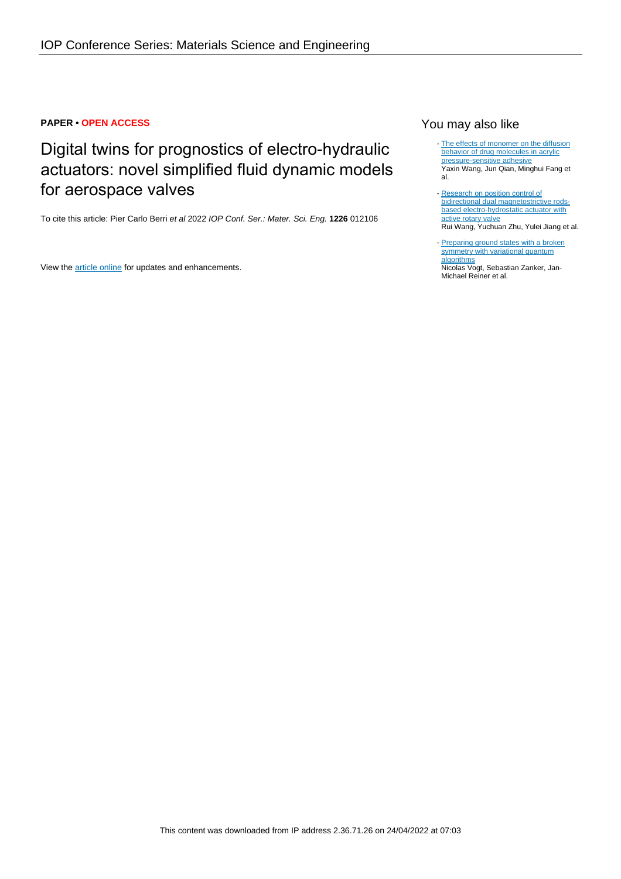### **PAPER • OPEN ACCESS**

# Digital twins for prognostics of electro-hydraulic actuators: novel simplified fluid dynamic models for aerospace valves

To cite this article: Pier Carlo Berri et al 2022 IOP Conf. Ser.: Mater. Sci. Eng. **1226** 012106

View the **[article online](https://doi.org/10.1088/1757-899X/1226/1/012106)** for updates and enhancements.

### You may also like

- [The effects of monomer on the diffusion](https://iopscience.iop.org/article/10.1088/2053-1591/abef3e) [behavior of drug molecules in acrylic](https://iopscience.iop.org/article/10.1088/2053-1591/abef3e) [pressure-sensitive adhesive](https://iopscience.iop.org/article/10.1088/2053-1591/abef3e) Yaxin Wang, Jun Qian, Minghui Fang et al.
- [Research on position control of](https://iopscience.iop.org/article/10.1088/1361-665X/ab6485) [bidirectional dual magnetostrictive rods](https://iopscience.iop.org/article/10.1088/1361-665X/ab6485)[based electro-hydrostatic actuator with](https://iopscience.iop.org/article/10.1088/1361-665X/ab6485) [active rotary valve](https://iopscience.iop.org/article/10.1088/1361-665X/ab6485) Rui Wang, Yuchuan Zhu, Yulei Jiang et al.
- [Preparing ground states with a broken](https://iopscience.iop.org/article/10.1088/2058-9565/abe568) [symmetry with variational quantum](https://iopscience.iop.org/article/10.1088/2058-9565/abe568) [algorithms](https://iopscience.iop.org/article/10.1088/2058-9565/abe568) Nicolas Vogt, Sebastian Zanker, Jan-

Michael Reiner et al.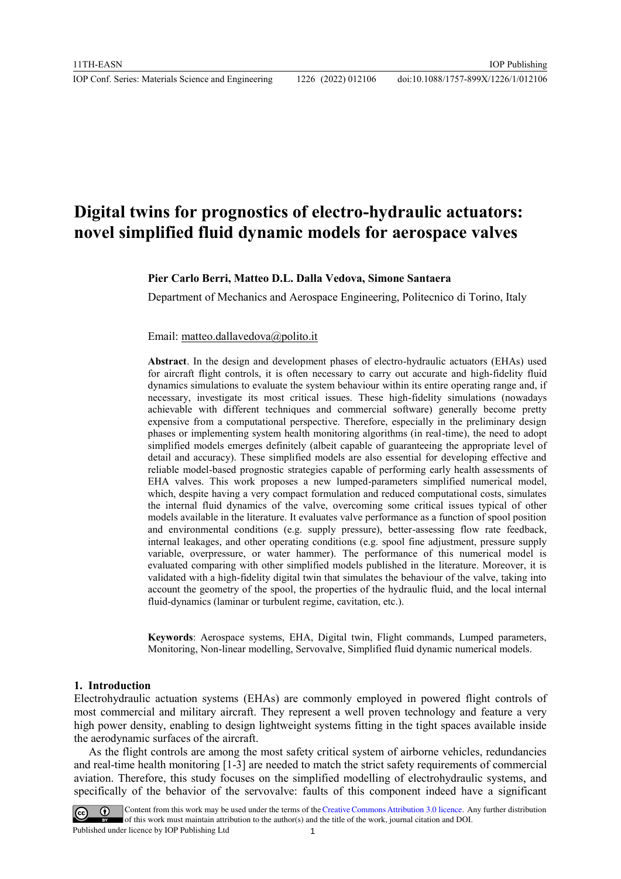## **Digital twins for prognostics of electro-hydraulic actuators: novel simplified fluid dynamic models for aerospace valves**

**Pier Carlo Berri, Matteo D.L. Dalla Vedova, Simone Santaera**

Department of Mechanics and Aerospace Engineering, Politecnico di Torino, Italy

Email: [matteo.dallavedova@polito.it](mailto:matteo.dallavedova@polito.it)

**Abstract**. In the design and development phases of electro-hydraulic actuators (EHAs) used for aircraft flight controls, it is often necessary to carry out accurate and high-fidelity fluid dynamics simulations to evaluate the system behaviour within its entire operating range and, if necessary, investigate its most critical issues. These high-fidelity simulations (nowadays achievable with different techniques and commercial software) generally become pretty expensive from a computational perspective. Therefore, especially in the preliminary design phases or implementing system health monitoring algorithms (in real-time), the need to adopt simplified models emerges definitely (albeit capable of guaranteeing the appropriate level of detail and accuracy). These simplified models are also essential for developing effective and reliable model-based prognostic strategies capable of performing early health assessments of EHA valves. This work proposes a new lumped-parameters simplified numerical model, which, despite having a very compact formulation and reduced computational costs, simulates the internal fluid dynamics of the valve, overcoming some critical issues typical of other models available in the literature. It evaluates valve performance as a function of spool position and environmental conditions (e.g. supply pressure), better-assessing flow rate feedback, internal leakages, and other operating conditions (e.g. spool fine adjustment, pressure supply variable, overpressure, or water hammer). The performance of this numerical model is evaluated comparing with other simplified models published in the literature. Moreover, it is validated with a high-fidelity digital twin that simulates the behaviour of the valve, taking into account the geometry of the spool, the properties of the hydraulic fluid, and the local internal fluid-dynamics (laminar or turbulent regime, cavitation, etc.).

**Keywords**: Aerospace systems, EHA, Digital twin, Flight commands, Lumped parameters, Monitoring, Non-linear modelling, Servovalve, Simplified fluid dynamic numerical models.

#### **1. Introduction**

Electrohydraulic actuation systems (EHAs) are commonly employed in powered flight controls of most commercial and military aircraft. They represent a well proven technology and feature a very high power density, enabling to design lightweight systems fitting in the tight spaces available inside the aerodynamic surfaces of the aircraft.

As the flight controls are among the most safety critical system of airborne vehicles, redundancies and real-time health monitoring [1-3] are needed to match the strict safety requirements of commercial aviation. Therefore, this study focuses on the simplified modelling of electrohydraulic systems, and specifically of the behavior of the servovalve: faults of this component indeed have a significant

Content from this work may be used under the terms of the Creative Commons Attribution 3.0 licence. Any further distribution of this work must maintain attribution to the author(s) and the title of the work, journal citation and DOI. Published under licence by IOP Publishing Ltd 1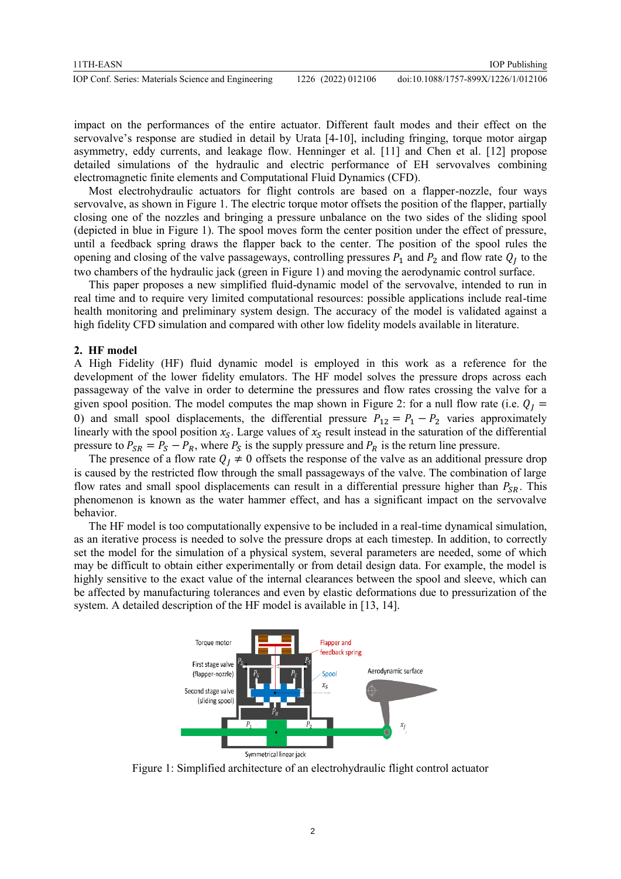| 11TH-EASN                                           |                    | <b>IOP</b> Publishing               |
|-----------------------------------------------------|--------------------|-------------------------------------|
| IOP Conf. Series: Materials Science and Engineering | 1226 (2022) 012106 | doi:10.1088/1757-899X/1226/1/012106 |

impact on the performances of the entire actuator. Different fault modes and their effect on the servovalve's response are studied in detail by Urata [4-10], including fringing, torque motor airgap asymmetry, eddy currents, and leakage flow. Henninger et al. [11] and Chen et al. [12] propose detailed simulations of the hydraulic and electric performance of EH servovalves combining electromagnetic finite elements and Computational Fluid Dynamics (CFD).

Most electrohydraulic actuators for flight controls are based on a flapper-nozzle, four ways servovalve, as shown in Figure 1. The electric torque motor offsets the position of the flapper, partially closing one of the nozzles and bringing a pressure unbalance on the two sides of the sliding spool (depicted in blue in Figure 1). The spool moves form the center position under the effect of pressure, until a feedback spring draws the flapper back to the center. The position of the spool rules the opening and closing of the valve passageways, controlling pressures  $P_1$  and  $P_2$  and flow rate  $Q_j$  to the two chambers of the hydraulic jack (green in Figure 1) and moving the aerodynamic control surface.

This paper proposes a new simplified fluid-dynamic model of the servovalve, intended to run in real time and to require very limited computational resources: possible applications include real-time health monitoring and preliminary system design. The accuracy of the model is validated against a high fidelity CFD simulation and compared with other low fidelity models available in literature.

#### **2. HF model**

A High Fidelity (HF) fluid dynamic model is employed in this work as a reference for the development of the lower fidelity emulators. The HF model solves the pressure drops across each passageway of the valve in order to determine the pressures and flow rates crossing the valve for a given spool position. The model computes the map shown in Figure 2: for a null flow rate (i.e.  $Q_I =$ 0) and small spool displacements, the differential pressure  $P_{12} = P_1 - P_2$  varies approximately linearly with the spool position  $x_s$ . Large values of  $x_s$  result instead in the saturation of the differential pressure to  $P_{SR} = P_S - P_R$ , where  $P_S$  is the supply pressure and  $P_R$  is the return line pressure.

The presence of a flow rate  $Q_1 \neq 0$  offsets the response of the valve as an additional pressure drop is caused by the restricted flow through the small passageways of the valve. The combination of large flow rates and small spool displacements can result in a differential pressure higher than  $P_{SR}$ . This phenomenon is known as the water hammer effect, and has a significant impact on the servovalve behavior.

The HF model is too computationally expensive to be included in a real-time dynamical simulation, as an iterative process is needed to solve the pressure drops at each timestep. In addition, to correctly set the model for the simulation of a physical system, several parameters are needed, some of which may be difficult to obtain either experimentally or from detail design data. For example, the model is highly sensitive to the exact value of the internal clearances between the spool and sleeve, which can be affected by manufacturing tolerances and even by elastic deformations due to pressurization of the system. A detailed description of the HF model is available in [13, 14].



Figure 1: Simplified architecture of an electrohydraulic flight control actuator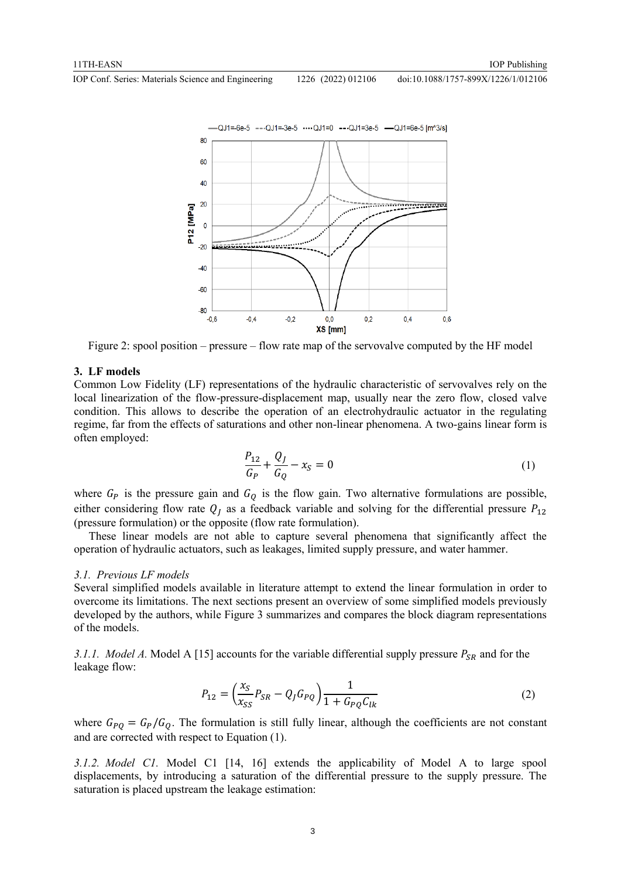doi:10.1088/1757-899X/1226/1/012106



Figure 2: spool position – pressure – flow rate map of the servovalve computed by the HF model

#### **3. LF models**

Common Low Fidelity (LF) representations of the hydraulic characteristic of servovalves rely on the local linearization of the flow-pressure-displacement map, usually near the zero flow, closed valve condition. This allows to describe the operation of an electrohydraulic actuator in the regulating regime, far from the effects of saturations and other non-linear phenomena. A two-gains linear form is often employed:

$$
\frac{P_{12}}{G_P} + \frac{Q_J}{G_Q} - x_S = 0
$$
 (1)

where  $G_P$  is the pressure gain and  $G_Q$  is the flow gain. Two alternative formulations are possible, either considering flow rate  $Q_I$  as a feedback variable and solving for the differential pressure  $P_{12}$ (pressure formulation) or the opposite (flow rate formulation).

These linear models are not able to capture several phenomena that significantly affect the operation of hydraulic actuators, such as leakages, limited supply pressure, and water hammer.

#### *3.1. Previous LF models*

Several simplified models available in literature attempt to extend the linear formulation in order to overcome its limitations. The next sections present an overview of some simplified models previously developed by the authors, while Figure 3 summarizes and compares the block diagram representations of the models.

*3.1.1. Model A.* Model A [15] accounts for the variable differential supply pressure  $P_{SR}$  and for the leakage flow:

$$
P_{12} = \left(\frac{x_S}{x_{SS}}P_{SR} - Q_J G_{PQ}\right) \frac{1}{1 + G_{PQ} C_{lk}}
$$
\n(2)

where  $G_{PQ} = G_P/G_Q$ . The formulation is still fully linear, although the coefficients are not constant and are corrected with respect to Equation (1).

*3.1.2. Model C1.* Model C1 [14, 16] extends the applicability of Model A to large spool displacements, by introducing a saturation of the differential pressure to the supply pressure. The saturation is placed upstream the leakage estimation: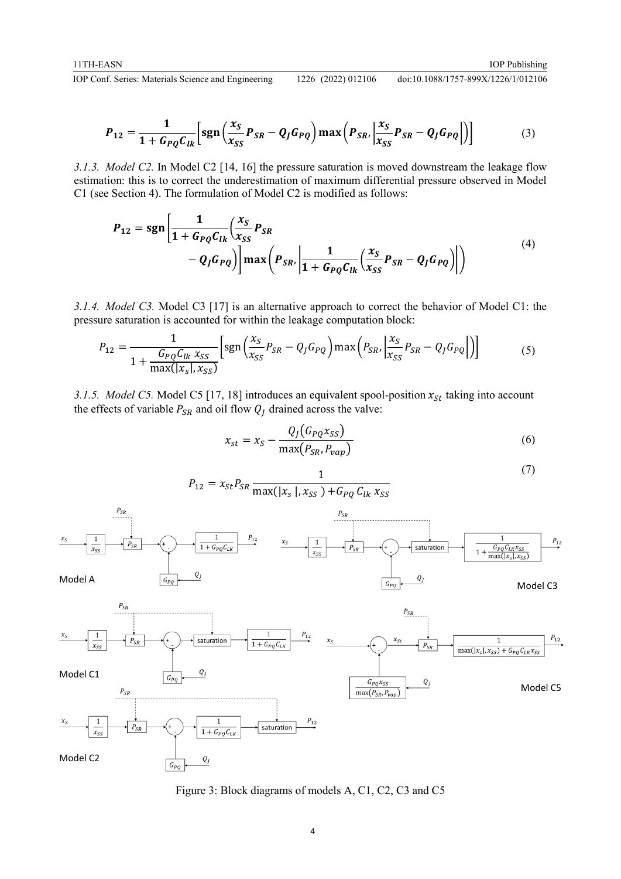(7)

doi:10.1088/1757-899X/1226/1/012106

$$
P_{12} = \frac{1}{1 + G_{PQ}C_{lk}} \Big[ sgn\left(\frac{x_S}{x_{SS}}P_{SR} - Q_JG_{PQ}\right) max\left(P_{SR}, \left|\frac{x_S}{x_{SS}}P_{SR} - Q_JG_{PQ}\right|\right) \Big]
$$
(3)

*3.1.3. Model C2.* In Model C2 [14, 16] the pressure saturation is moved downstream the leakage flow estimation: this is to correct the underestimation of maximum differential pressure observed in Model C1 (see Section 4). The formulation of Model C2 is modified as follows:

$$
P_{12} = sgn\left[\frac{1}{1 + G_{PQ}C_{lk}}\left(\frac{x_S}{x_{SS}}P_{SR} - Q_JG_{PQ}\right)\right]max\left(P_{SR}\left|\frac{1}{1 + G_{PQ}C_{lk}}\left(\frac{x_S}{x_{SS}}P_{SR} - Q_JG_{PQ}\right)\right|\right)
$$
(4)

*3.1.4. Model C3.* Model C3 [17] is an alternative approach to correct the behavior of Model C1: the pressure saturation is accounted for within the leakage computation block:

$$
P_{12} = \frac{1}{1 + \frac{G_{PQ}C_{lk}x_{SS}}{\max(|x_S|, x_{SS})}} \Big[ \text{sgn}\left(\frac{x_S}{x_{SS}}P_{SR} - Q_J G_{PQ}\right) \text{max}\left(P_{SR}, \left|\frac{x_S}{x_{SS}}P_{SR} - Q_J G_{PQ}\right|\right) \Big] \tag{5}
$$

1

*3.1.5. Model C5.* Model C5 [17, 18] introduces an equivalent spool-position  $x_{St}$  taking into account the effects of variable  $P_{SR}$  and oil flow  $Q_I$  drained across the valve:

$$
x_{st} = x_S - \frac{Q_J(G_{PQ}x_{SS})}{\max(P_{SR}, P_{vap})}
$$
\n
$$
\tag{6}
$$

| $P_{12} = x_{St} P_{SR} \frac{1}{\max( x_s , x_{SS}) + G_{PQ} C_{lk} x_{SS}}$ |                    |          |          |          |          |
|-------------------------------------------------------------------------------|--------------------|----------|----------|----------|----------|
| $x_s$                                                                         | $\frac{1}{x_{ss}}$ | $P_{SR}$ |          |          |          |
| Model A                                                                       | $G_{PQ}$           | $Q_I$    | $Q_I$    |          |          |
| Model C1                                                                      | $G_{PQ}$           | $Q_I$    | $Q_I$    |          |          |
| Model C2                                                                      | $F_{SR}$           | $Q_I$    | $Q_{PQ}$ | $Q_{PQ}$ |          |
| Model C1                                                                      | $G_{PQ}$           | $Q_I$    | $Q_{PQ}$ | $Q_{PQ}$ |          |
| Model C2                                                                      | $G_{PQ}$           | $Q_I$    | $Q_{PQ}$ | $Q_{PQ}$ |          |
| Model C3                                                                      | $G_{PQ}$           | $Q_I$    | $Q_{PQ}$ | $Q_{PQ}$ |          |
| Model C1                                                                      | $G_{PQ}$           | $Q_I$    | $Q_{PQ}$ | $Q_{PQ}$ | $Q_{PQ}$ |
| Model C2                                                                      | $G_{PQ}$           | $Q_{PQ}$ | $Q_{PQ}$ | $Q_{PQ}$ |          |

Figure 3: Block diagrams of models A, C1, C2, C3 and C5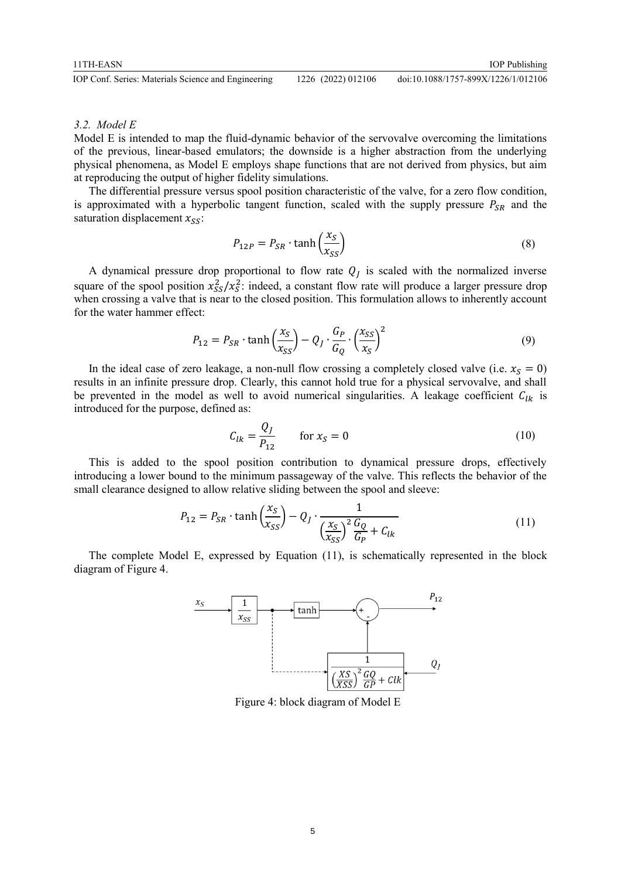IOP Conf. Series: Materials Science and Engineering 1226 (2022) 012106 doi:10.1088/1757-899X/1226/1/012106

#### *3.2. Model E*

Model E is intended to map the fluid-dynamic behavior of the servovalve overcoming the limitations of the previous, linear-based emulators; the downside is a higher abstraction from the underlying physical phenomena, as Model E employs shape functions that are not derived from physics, but aim at reproducing the output of higher fidelity simulations.

The differential pressure versus spool position characteristic of the valve, for a zero flow condition, is approximated with a hyperbolic tangent function, scaled with the supply pressure  $P_{SR}$  and the saturation displacement  $x_{SS}$ :

$$
P_{12P} = P_{SR} \cdot \tanh\left(\frac{x_S}{x_{SS}}\right) \tag{8}
$$

IOP Publishing

A dynamical pressure drop proportional to flow rate  $Q_j$  is scaled with the normalized inverse square of the spool position  $x_{SS}^2/x_S^2$ : indeed, a constant flow rate will produce a larger pressure drop when crossing a valve that is near to the closed position. This formulation allows to inherently account for the water hammer effect:

$$
P_{12} = P_{SR} \cdot \tanh\left(\frac{x_S}{x_{SS}}\right) - Q_J \cdot \frac{G_P}{G_Q} \cdot \left(\frac{x_{SS}}{x_S}\right)^2 \tag{9}
$$

In the ideal case of zero leakage, a non-null flow crossing a completely closed valve (i.e.  $x_s = 0$ ) results in an infinite pressure drop. Clearly, this cannot hold true for a physical servovalve, and shall be prevented in the model as well to avoid numerical singularities. A leakage coefficient  $C_{lk}$  is introduced for the purpose, defined as:

$$
C_{lk} = \frac{Q_J}{P_{12}} \qquad \text{for } x_S = 0 \tag{10}
$$

This is added to the spool position contribution to dynamical pressure drops, effectively introducing a lower bound to the minimum passageway of the valve. This reflects the behavior of the small clearance designed to allow relative sliding between the spool and sleeve:

$$
P_{12} = P_{SR} \cdot \tanh\left(\frac{x_S}{x_{SS}}\right) - Q_J \cdot \frac{1}{\left(\frac{x_S}{x_{SS}}\right)^2 \frac{G_Q}{G_P} + C_{lk}}
$$
(11)

The complete Model E, expressed by Equation (11), is schematically represented in the block diagram of Figure 4.



Figure 4: block diagram of Model E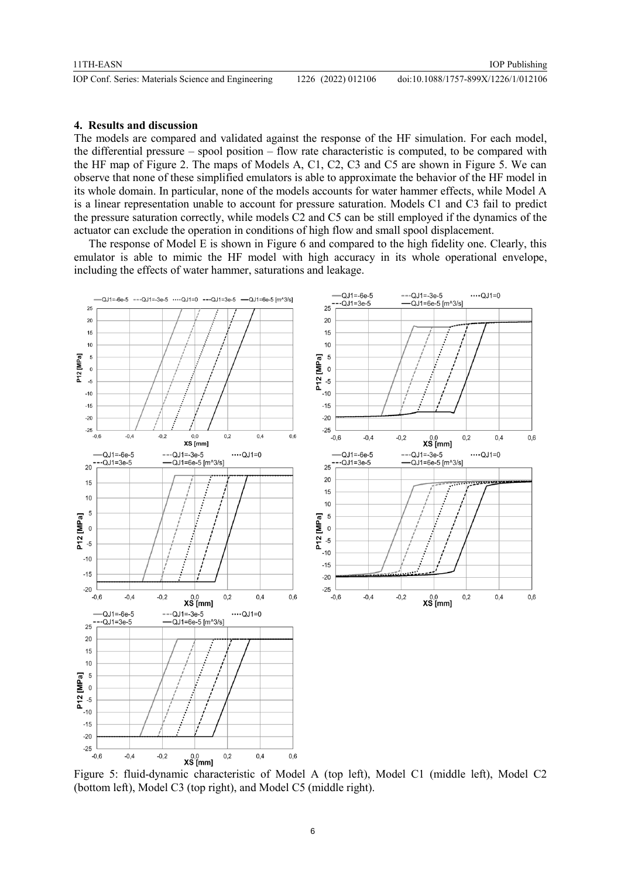#### **4. Results and discussion**

The models are compared and validated against the response of the HF simulation. For each model, the differential pressure – spool position – flow rate characteristic is computed, to be compared with the HF map of Figure 2. The maps of Models A, C1, C2, C3 and C5 are shown in Figure 5. We can observe that none of these simplified emulators is able to approximate the behavior of the HF model in its whole domain. In particular, none of the models accounts for water hammer effects, while Model A is a linear representation unable to account for pressure saturation. Models C1 and C3 fail to predict the pressure saturation correctly, while models C2 and C5 can be still employed if the dynamics of the actuator can exclude the operation in conditions of high flow and small spool displacement.

The response of Model E is shown in Figure 6 and compared to the high fidelity one. Clearly, this emulator is able to mimic the HF model with high accuracy in its whole operational envelope, including the effects of water hammer, saturations and leakage.



Figure 5: fluid-dynamic characteristic of Model A (top left), Model C1 (middle left), Model C2 (bottom left), Model C3 (top right), and Model C5 (middle right).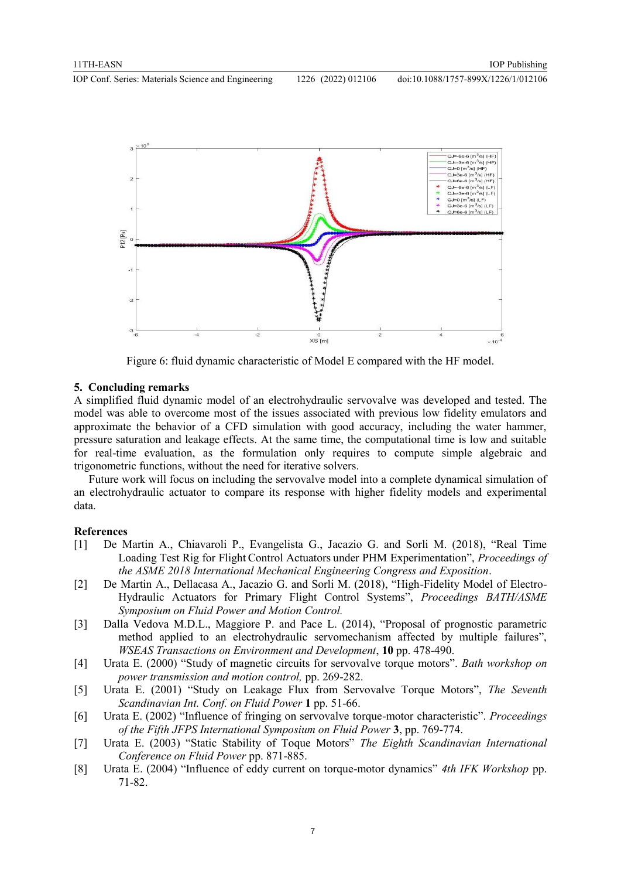

Figure 6: fluid dynamic characteristic of Model E compared with the HF model.

#### **5. Concluding remarks**

A simplified fluid dynamic model of an electrohydraulic servovalve was developed and tested. The model was able to overcome most of the issues associated with previous low fidelity emulators and approximate the behavior of a CFD simulation with good accuracy, including the water hammer, pressure saturation and leakage effects. At the same time, the computational time is low and suitable for real-time evaluation, as the formulation only requires to compute simple algebraic and trigonometric functions, without the need for iterative solvers.

Future work will focus on including the servovalve model into a complete dynamical simulation of an electrohydraulic actuator to compare its response with higher fidelity models and experimental data.

#### **References**

- [1] De Martin A., Chiavaroli P., Evangelista G., Jacazio G. and Sorli M. (2018), "Real Time Loading Test Rig for Flight Control Actuators under PHM Experimentation", *Proceedings of the ASME 2018 International Mechanical Engineering Congress and Exposition*.
- [2] De Martin A., Dellacasa A., Jacazio G. and Sorli M. (2018), "High-Fidelity Model of Electro-Hydraulic Actuators for Primary Flight Control Systems", *Proceedings BATH/ASME Symposium on Fluid Power and Motion Control.*
- [3] Dalla Vedova M.D.L., Maggiore P. and Pace L. (2014), "Proposal of prognostic parametric method applied to an electrohydraulic servomechanism affected by multiple failures", *WSEAS Transactions on Environment and Development*, **10** pp. 478-490.
- [4] Urata E. (2000) "Study of magnetic circuits for servovalve torque motors". *Bath workshop on power transmission and motion control,* pp. 269-282.
- [5] Urata E. (2001) "Study on Leakage Flux from Servovalve Torque Motors", *The Seventh Scandinavian Int. Conf. on Fluid Power* **1** pp. 51-66.
- [6] Urata E. (2002) "Influence of fringing on servovalve torque-motor characteristic". *Proceedings of the Fifth JFPS International Symposium on Fluid Power* **3**, pp. 769-774.
- [7] Urata E. (2003) "Static Stability of Toque Motors" *The Eighth Scandinavian International Conference on Fluid Power* pp. 871-885.
- [8] Urata E. (2004) "Influence of eddy current on torque-motor dynamics" *4th IFK Workshop* pp. 71-82.